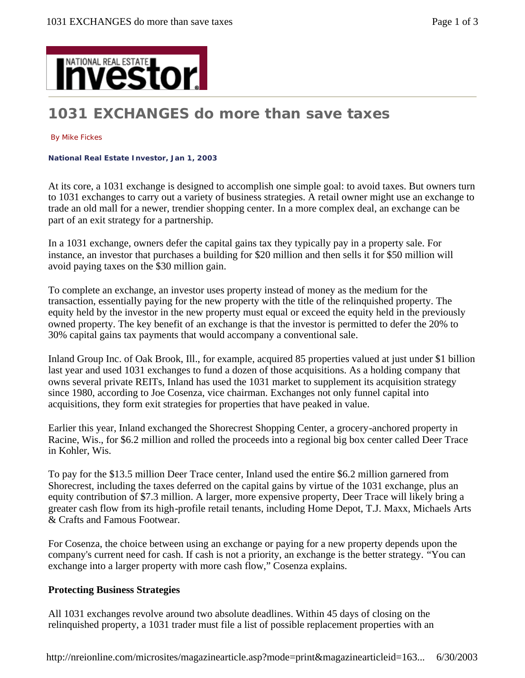

# **1031 EXCHANGES do more than save taxes**

#### By Mike Fickes

**National Real Estate Investor, Jan 1, 2003** 

At its core, a 1031 exchange is designed to accomplish one simple goal: to avoid taxes. But owners turn to 1031 exchanges to carry out a variety of business strategies. A retail owner might use an exchange to trade an old mall for a newer, trendier shopping center. In a more complex deal, an exchange can be part of an exit strategy for a partnership.

In a 1031 exchange, owners defer the capital gains tax they typically pay in a property sale. For instance, an investor that purchases a building for \$20 million and then sells it for \$50 million will avoid paying taxes on the \$30 million gain.

To complete an exchange, an investor uses property instead of money as the medium for the transaction, essentially paying for the new property with the title of the relinquished property. The equity held by the investor in the new property must equal or exceed the equity held in the previously owned property. The key benefit of an exchange is that the investor is permitted to defer the 20% to 30% capital gains tax payments that would accompany a conventional sale.

Inland Group Inc. of Oak Brook, Ill., for example, acquired 85 properties valued at just under \$1 billion last year and used 1031 exchanges to fund a dozen of those acquisitions. As a holding company that owns several private REITs, Inland has used the 1031 market to supplement its acquisition strategy since 1980, according to Joe Cosenza, vice chairman. Exchanges not only funnel capital into acquisitions, they form exit strategies for properties that have peaked in value.

Earlier this year, Inland exchanged the Shorecrest Shopping Center, a grocery-anchored property in Racine, Wis., for \$6.2 million and rolled the proceeds into a regional big box center called Deer Trace in Kohler, Wis.

To pay for the \$13.5 million Deer Trace center, Inland used the entire \$6.2 million garnered from Shorecrest, including the taxes deferred on the capital gains by virtue of the 1031 exchange, plus an equity contribution of \$7.3 million. A larger, more expensive property, Deer Trace will likely bring a greater cash flow from its high-profile retail tenants, including Home Depot, T.J. Maxx, Michaels Arts & Crafts and Famous Footwear.

For Cosenza, the choice between using an exchange or paying for a new property depends upon the company's current need for cash. If cash is not a priority, an exchange is the better strategy. "You can exchange into a larger property with more cash flow," Cosenza explains.

### **Protecting Business Strategies**

All 1031 exchanges revolve around two absolute deadlines. Within 45 days of closing on the relinquished property, a 1031 trader must file a list of possible replacement properties with an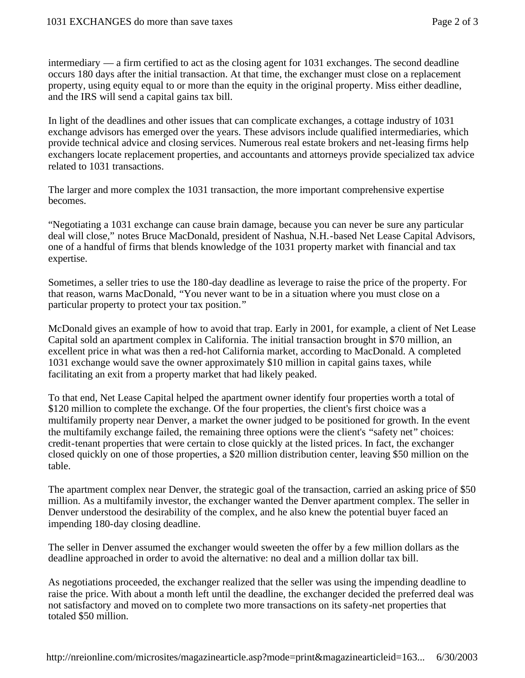intermediary — a firm certified to act as the closing agent for 1031 exchanges. The second deadline occurs 180 days after the initial transaction. At that time, the exchanger must close on a replacement property, using equity equal to or more than the equity in the original property. Miss either deadline, and the IRS will send a capital gains tax bill.

In light of the deadlines and other issues that can complicate exchanges, a cottage industry of 1031 exchange advisors has emerged over the years. These advisors include qualified intermediaries, which provide technical advice and closing services. Numerous real estate brokers and net-leasing firms help exchangers locate replacement properties, and accountants and attorneys provide specialized tax advice related to 1031 transactions.

The larger and more complex the 1031 transaction, the more important comprehensive expertise becomes.

"Negotiating a 1031 exchange can cause brain damage, because you can never be sure any particular deal will close," notes Bruce MacDonald, president of Nashua, N.H.-based Net Lease Capital Advisors, one of a handful of firms that blends knowledge of the 1031 property market with financial and tax expertise.

Sometimes, a seller tries to use the 180-day deadline as leverage to raise the price of the property. For that reason, warns MacDonald, "You never want to be in a situation where you must close on a particular property to protect your tax position."

McDonald gives an example of how to avoid that trap. Early in 2001, for example, a client of Net Lease Capital sold an apartment complex in California. The initial transaction brought in \$70 million, an excellent price in what was then a red-hot California market, according to MacDonald. A completed 1031 exchange would save the owner approximately \$10 million in capital gains taxes, while facilitating an exit from a property market that had likely peaked.

To that end, Net Lease Capital helped the apartment owner identify four properties worth a total of \$120 million to complete the exchange. Of the four properties, the client's first choice was a multifamily property near Denver, a market the owner judged to be positioned for growth. In the event the multifamily exchange failed, the remaining three options were the client's "safety net" choices: credit-tenant properties that were certain to close quickly at the listed prices. In fact, the exchanger closed quickly on one of those properties, a \$20 million distribution center, leaving \$50 million on the table.

The apartment complex near Denver, the strategic goal of the transaction, carried an asking price of \$50 million. As a multifamily investor, the exchanger wanted the Denver apartment complex. The seller in Denver understood the desirability of the complex, and he also knew the potential buyer faced an impending 180-day closing deadline.

The seller in Denver assumed the exchanger would sweeten the offer by a few million dollars as the deadline approached in order to avoid the alternative: no deal and a million dollar tax bill.

As negotiations proceeded, the exchanger realized that the seller was using the impending deadline to raise the price. With about a month left until the deadline, the exchanger decided the preferred deal was not satisfactory and moved on to complete two more transactions on its safety-net properties that totaled \$50 million.